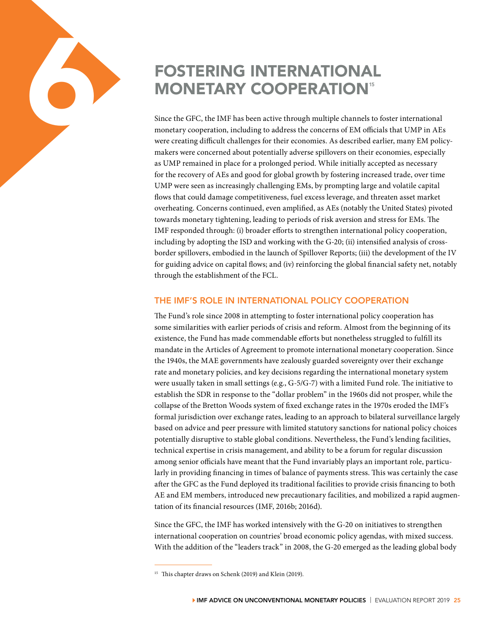# FOSTERING INTERNATIONAL **MONETARY COOPERATION<sup>5</sup>**

6

Since the GFC, the IMF has been active through multiple channels to foster international monetary cooperation, including to address the concerns of EM officials that UMP in AEs were creating difficult challenges for their economies. As described earlier, many EM policymakers were concerned about potentially adverse spillovers on their economies, especially as UMP remained in place for a prolonged period. While initially accepted as necessary for the recovery of AEs and good for global growth by fostering increased trade, over time UMP were seen as increasingly challenging EMs, by prompting large and volatile capital flows that could damage competitiveness, fuel excess leverage, and threaten asset market overheating. Concerns continued, even amplified, as AEs (notably the United States) pivoted towards monetary tightening, leading to periods of risk aversion and stress for EMs. The IMF responded through: (i) broader efforts to strengthen international policy cooperation, including by adopting the ISD and working with the G-20; (ii) intensified analysis of crossborder spillovers, embodied in the launch of Spillover Reports; (iii) the development of the IV for guiding advice on capital flows; and (iv) reinforcing the global financial safety net, notably through the establishment of the FCL.

#### THE IMF'S ROLE IN INTERNATIONAL POLICY COOPERATION

The Fund's role since 2008 in attempting to foster international policy cooperation has some similarities with earlier periods of crisis and reform. Almost from the beginning of its existence, the Fund has made commendable efforts but nonetheless struggled to fulfill its mandate in the Articles of Agreement to promote international monetary cooperation. Since the 1940s, the MAE governments have zealously guarded sovereignty over their exchange rate and monetary policies, and key decisions regarding the international monetary system were usually taken in small settings (e.g., G-5/G-7) with a limited Fund role. The initiative to establish the SDR in response to the "dollar problem" in the 1960s did not prosper, while the collapse of the Bretton Woods system of fixed exchange rates in the 1970s eroded the IMF's formal jurisdiction over exchange rates, leading to an approach to bilateral surveillance largely based on advice and peer pressure with limited statutory sanctions for national policy choices potentially disruptive to stable global conditions. Nevertheless, the Fund's lending facilities, technical expertise in crisis management, and ability to be a forum for regular discussion among senior officials have meant that the Fund invariably plays an important role, particularly in providing financing in times of balance of payments stress. This was certainly the case after the GFC as the Fund deployed its traditional facilities to provide crisis financing to both AE and EM members, introduced new precautionary facilities, and mobilized a rapid augmentation of its financial resources (IMF, 2016b; 2016d).

Since the GFC, the IMF has worked intensively with the G-20 on initiatives to strengthen international cooperation on countries' broad economic policy agendas, with mixed success. With the addition of the "leaders track" in 2008, the G-20 emerged as the leading global body

<sup>&</sup>lt;sup>15</sup> This chapter draws on Schenk (2019) and Klein (2019).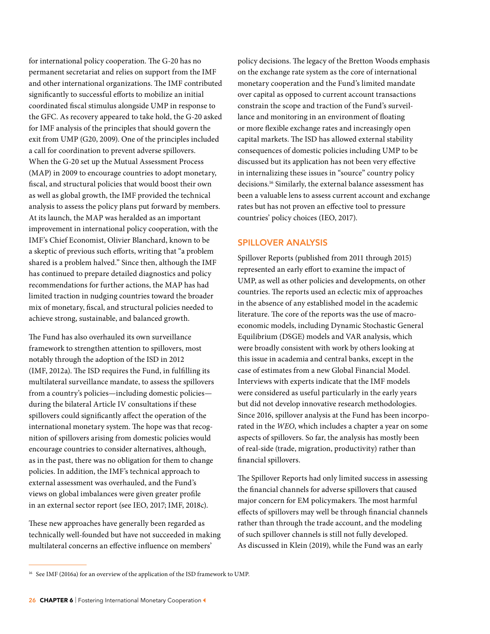for international policy cooperation. The G-20 has no permanent secretariat and relies on support from the IMF and other international organizations. The IMF contributed significantly to successful efforts to mobilize an initial coordinated fiscal stimulus alongside UMP in response to the GFC. As recovery appeared to take hold, the G-20 asked for IMF analysis of the principles that should govern the exit from UMP (G20, 2009). One of the principles included a call for coordination to prevent adverse spillovers. When the G-20 set up the Mutual Assessment Process (MAP) in 2009 to encourage countries to adopt monetary, fiscal, and structural policies that would boost their own as well as global growth, the IMF provided the technical analysis to assess the policy plans put forward by members. At its launch, the MAP was heralded as an important improvement in international policy cooperation, with the IMF's Chief Economist, Olivier Blanchard, known to be a skeptic of previous such efforts, writing that "a problem shared is a problem halved." Since then, although the IMF has continued to prepare detailed diagnostics and policy recommendations for further actions, the MAP has had limited traction in nudging countries toward the broader mix of monetary, fiscal, and structural policies needed to achieve strong, sustainable, and balanced growth.

The Fund has also overhauled its own surveillance framework to strengthen attention to spillovers, most notably through the adoption of the ISD in 2012 (IMF, 2012a). The ISD requires the Fund, in fulfilling its multilateral surveillance mandate, to assess the spillovers from a country's policies—including domestic policies during the bilateral Article IV consultations if these spillovers could significantly affect the operation of the international monetary system. The hope was that recognition of spillovers arising from domestic policies would encourage countries to consider alternatives, although, as in the past, there was no obligation for them to change policies. In addition, the IMF's technical approach to external assessment was overhauled, and the Fund's views on global imbalances were given greater profile in an external sector report (see IEO, 2017; IMF, 2018c).

These new approaches have generally been regarded as technically well-founded but have not succeeded in making multilateral concerns an effective influence on members'

policy decisions. The legacy of the Bretton Woods emphasis on the exchange rate system as the core of international monetary cooperation and the Fund's limited mandate over capital as opposed to current account transactions constrain the scope and traction of the Fund's surveillance and monitoring in an environment of floating or more flexible exchange rates and increasingly open capital markets. The ISD has allowed external stability consequences of domestic policies including UMP to be discussed but its application has not been very effective in internalizing these issues in "source" country policy decisions.16 Similarly, the external balance assessment has been a valuable lens to assess current account and exchange rates but has not proven an effective tool to pressure countries' policy choices (IEO, 2017).

#### SPILLOVER ANALYSIS

Spillover Reports (published from 2011 through 2015) represented an early effort to examine the impact of UMP, as well as other policies and developments, on other countries. The reports used an eclectic mix of approaches in the absence of any established model in the academic literature. The core of the reports was the use of macroeconomic models, including Dynamic Stochastic General Equilibrium (DSGE) models and VAR analysis, which were broadly consistent with work by others looking at this issue in academia and central banks, except in the case of estimates from a new Global Financial Model. Interviews with experts indicate that the IMF models were considered as useful particularly in the early years but did not develop innovative research methodologies. Since 2016, spillover analysis at the Fund has been incorporated in the *WEO*, which includes a chapter a year on some aspects of spillovers. So far, the analysis has mostly been of real-side (trade, migration, productivity) rather than financial spillovers.

The Spillover Reports had only limited success in assessing the financial channels for adverse spillovers that caused major concern for EM policymakers. The most harmful effects of spillovers may well be through financial channels rather than through the trade account, and the modeling of such spillover channels is still not fully developed. As discussed in Klein (2019), while the Fund was an early

<sup>&</sup>lt;sup>16</sup> See IMF (2016a) for an overview of the application of the ISD framework to UMP.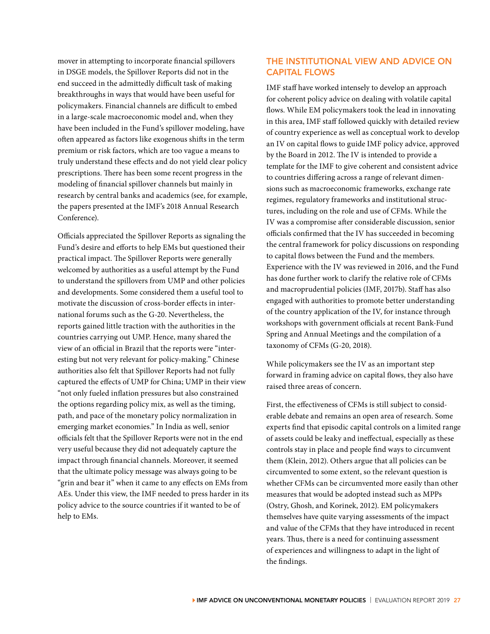mover in attempting to incorporate financial spillovers in DSGE models, the Spillover Reports did not in the end succeed in the admittedly difficult task of making breakthroughs in ways that would have been useful for policymakers. Financial channels are difficult to embed in a large-scale macroeconomic model and, when they have been included in the Fund's spillover modeling, have often appeared as factors like exogenous shifts in the term premium or risk factors, which are too vague a means to truly understand these effects and do not yield clear policy prescriptions. There has been some recent progress in the modeling of financial spillover channels but mainly in research by central banks and academics (see, for example, the papers presented at the IMF's 2018 Annual Research Conference).

Officials appreciated the Spillover Reports as signaling the Fund's desire and efforts to help EMs but questioned their practical impact. The Spillover Reports were generally welcomed by authorities as a useful attempt by the Fund to understand the spillovers from UMP and other policies and developments. Some considered them a useful tool to motivate the discussion of cross-border effects in international forums such as the G-20. Nevertheless, the reports gained little traction with the authorities in the countries carrying out UMP. Hence, many shared the view of an official in Brazil that the reports were "interesting but not very relevant for policy-making." Chinese authorities also felt that Spillover Reports had not fully captured the effects of UMP for China; UMP in their view "not only fueled inflation pressures but also constrained the options regarding policy mix, as well as the timing, path, and pace of the monetary policy normalization in emerging market economies." In India as well, senior officials felt that the Spillover Reports were not in the end very useful because they did not adequately capture the impact through financial channels. Moreover, it seemed that the ultimate policy message was always going to be "grin and bear it" when it came to any effects on EMs from AEs. Under this view, the IMF needed to press harder in its policy advice to the source countries if it wanted to be of help to EMs.

## THE INSTITUTIONAL VIEW AND ADVICE ON CAPITAL FLOWS

IMF staff have worked intensely to develop an approach for coherent policy advice on dealing with volatile capital flows. While EM policymakers took the lead in innovating in this area, IMF staff followed quickly with detailed review of country experience as well as conceptual work to develop an IV on capital flows to guide IMF policy advice, approved by the Board in 2012. The IV is intended to provide a template for the IMF to give coherent and consistent advice to countries differing across a range of relevant dimensions such as macroeconomic frameworks, exchange rate regimes, regulatory frameworks and institutional structures, including on the role and use of CFMs. While the IV was a compromise after considerable discussion, senior officials confirmed that the IV has succeeded in becoming the central framework for policy discussions on responding to capital flows between the Fund and the members. Experience with the IV was reviewed in 2016, and the Fund has done further work to clarify the relative role of CFMs and macroprudential policies (IMF, 2017b). Staff has also engaged with authorities to promote better understanding of the country application of the IV, for instance through workshops with government officials at recent Bank-Fund Spring and Annual Meetings and the compilation of a taxonomy of CFMs (G-20, 2018).

While policymakers see the IV as an important step forward in framing advice on capital flows, they also have raised three areas of concern.

First, the effectiveness of CFMs is still subject to considerable debate and remains an open area of research. Some experts find that episodic capital controls on a limited range of assets could be leaky and ineffectual, especially as these controls stay in place and people find ways to circumvent them (Klein, 2012). Others argue that all policies can be circumvented to some extent, so the relevant question is whether CFMs can be circumvented more easily than other measures that would be adopted instead such as MPPs (Ostry, Ghosh, and Korinek, 2012). EM policymakers themselves have quite varying assessments of the impact and value of the CFMs that they have introduced in recent years. Thus, there is a need for continuing assessment of experiences and willingness to adapt in the light of the findings.